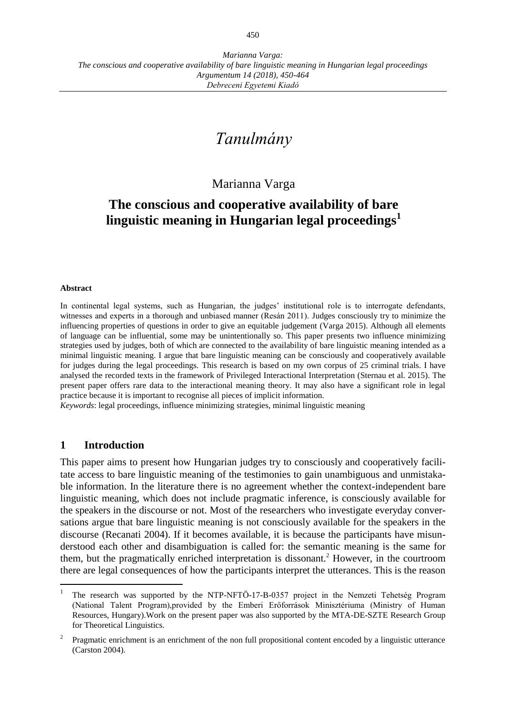# *Tanulmány*

## Marianna Varga

# **The conscious and cooperative availability of bare linguistic meaning in Hungarian legal proceedings<sup>1</sup>**

#### **Abstract**

In continental legal systems, such as Hungarian, the judges' institutional role is to interrogate defendants, witnesses and experts in a thorough and unbiased manner (Resán 2011). Judges consciously try to minimize the influencing properties of questions in order to give an equitable judgement (Varga 2015). Although all elements of language can be influential, some may be unintentionally so. This paper presents two influence minimizing strategies used by judges, both of which are connected to the availability of bare linguistic meaning intended as a minimal linguistic meaning. I argue that bare linguistic meaning can be consciously and cooperatively available for judges during the legal proceedings. This research is based on my own corpus of 25 criminal trials. I have analysed the recorded texts in the framework of Privileged Interactional Interpretation (Sternau et al. 2015). The present paper offers rare data to the interactional meaning theory. It may also have a significant role in legal practice because it is important to recognise all pieces of implicit information.

*Keywords*: legal proceedings, influence minimizing strategies, minimal linguistic meaning

#### **1 Introduction**

This paper aims to present how Hungarian judges try to consciously and cooperatively facilitate access to bare linguistic meaning of the testimonies to gain unambiguous and unmistakable information. In the literature there is no agreement whether the context-independent bare linguistic meaning, which does not include pragmatic inference, is consciously available for the speakers in the discourse or not. Most of the researchers who investigate everyday conversations argue that bare linguistic meaning is not consciously available for the speakers in the discourse (Recanati 2004). If it becomes available, it is because the participants have misunderstood each other and disambiguation is called for: the semantic meaning is the same for them, but the pragmatically enriched interpretation is dissonant.<sup>2</sup> However, in the courtroom there are legal consequences of how the participants interpret the utterances. This is the reason

<sup>1</sup> The research was supported by the NTP-NFTÖ-17-B-0357 project in the Nemzeti Tehetség Program (National Talent Program),provided by the Emberi Erőforrások Minisztériuma (Ministry of Human Resources, Hungary).Work on the present paper was also supported by the MTA-DE-SZTE Research Group for Theoretical Linguistics.

<sup>2</sup> Pragmatic enrichment is an enrichment of the non full propositional content encoded by a linguistic utterance (Carston 2004).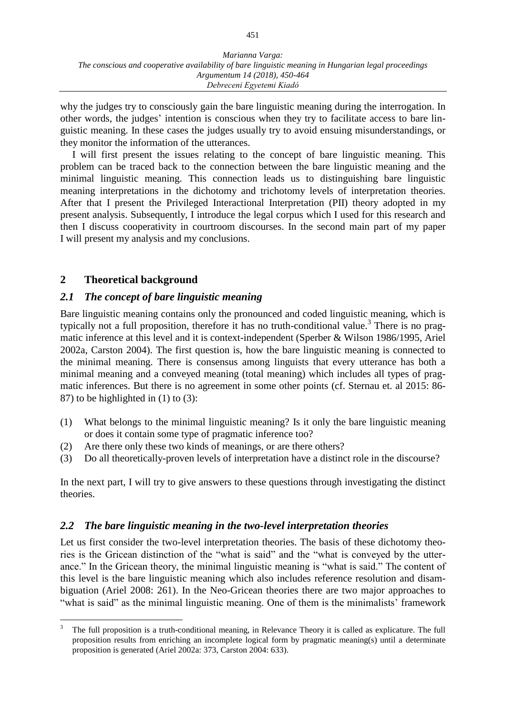why the judges try to consciously gain the bare linguistic meaning during the interrogation. In other words, the judges' intention is conscious when they try to facilitate access to bare linguistic meaning. In these cases the judges usually try to avoid ensuing misunderstandings, or they monitor the information of the utterances.

I will first present the issues relating to the concept of bare linguistic meaning. This problem can be traced back to the connection between the bare linguistic meaning and the minimal linguistic meaning. This connection leads us to distinguishing bare linguistic meaning interpretations in the dichotomy and trichotomy levels of interpretation theories. After that I present the Privileged Interactional Interpretation (PII) theory adopted in my present analysis. Subsequently, I introduce the legal corpus which I used for this research and then I discuss cooperativity in courtroom discourses. In the second main part of my paper I will present my analysis and my conclusions.

#### **2 Theoretical background**

 $\overline{a}$ 

#### *2.1 The concept of bare linguistic meaning*

Bare linguistic meaning contains only the pronounced and coded linguistic meaning, which is typically not a full proposition, therefore it has no truth-conditional value.<sup>3</sup> There is no pragmatic inference at this level and it is context-independent (Sperber & Wilson 1986/1995, Ariel 2002a, Carston 2004). The first question is, how the bare linguistic meaning is connected to the minimal meaning. There is consensus among linguists that every utterance has both a minimal meaning and a conveyed meaning (total meaning) which includes all types of pragmatic inferences. But there is no agreement in some other points (cf. Sternau et. al 2015: 86- 87) to be highlighted in (1) to (3):

- (1) What belongs to the minimal linguistic meaning? Is it only the bare linguistic meaning or does it contain some type of pragmatic inference too?
- (2) Are there only these two kinds of meanings, or are there others?
- (3) Do all theoretically-proven levels of interpretation have a distinct role in the discourse?

In the next part, I will try to give answers to these questions through investigating the distinct theories.

#### *2.2 The bare linguistic meaning in the two-level interpretation theories*

Let us first consider the two-level interpretation theories. The basis of these dichotomy theories is the Gricean distinction of the "what is said" and the "what is conveyed by the utterance." In the Gricean theory, the minimal linguistic meaning is "what is said." The content of this level is the bare linguistic meaning which also includes reference resolution and disambiguation (Ariel 2008: 261). In the Neo-Gricean theories there are two major approaches to "what is said" as the minimal linguistic meaning. One of them is the minimalists' framework

<sup>3</sup> The full proposition is a truth-conditional meaning, in Relevance Theory it is called as explicature. The full proposition results from enriching an incomplete logical form by pragmatic meaning(s) until a determinate proposition is generated (Ariel 2002a: 373, Carston 2004: 633).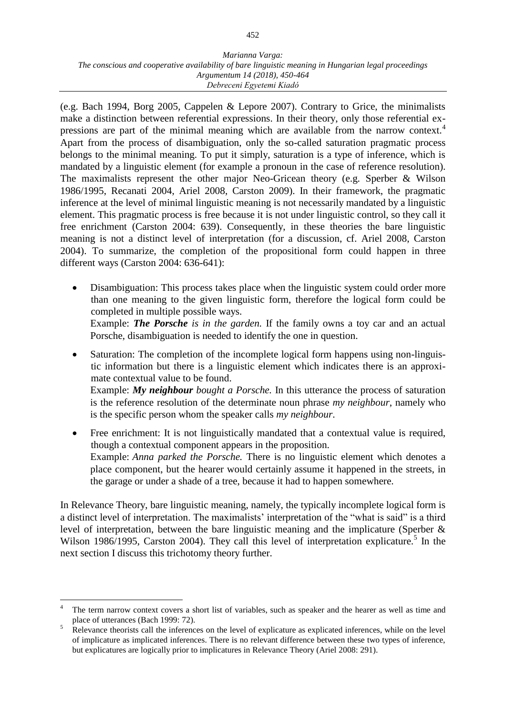(e.g. Bach 1994, Borg 2005, Cappelen & Lepore 2007). Contrary to Grice, the minimalists make a distinction between referential expressions. In their theory, only those referential expressions are part of the minimal meaning which are available from the narrow context.<sup>4</sup> Apart from the process of disambiguation, only the so-called saturation pragmatic process belongs to the minimal meaning. To put it simply, saturation is a type of inference, which is mandated by a linguistic element (for example a pronoun in the case of reference resolution). The maximalists represent the other major Neo-Gricean theory (e.g. Sperber & Wilson 1986/1995, Recanati 2004, Ariel 2008, Carston 2009). In their framework, the pragmatic inference at the level of minimal linguistic meaning is not necessarily mandated by a linguistic element. This pragmatic process is free because it is not under linguistic control, so they call it free enrichment (Carston 2004: 639). Consequently, in these theories the bare linguistic meaning is not a distinct level of interpretation (for a discussion, cf. Ariel 2008, Carston 2004). To summarize, the completion of the propositional form could happen in three different ways (Carston 2004: 636-641):

- Disambiguation: This process takes place when the linguistic system could order more than one meaning to the given linguistic form, therefore the logical form could be completed in multiple possible ways. Example: *The Porsche is in the garden.* If the family owns a toy car and an actual Porsche, disambiguation is needed to identify the one in question.
- Saturation: The completion of the incomplete logical form happens using non-linguistic information but there is a linguistic element which indicates there is an approximate contextual value to be found. Example: *My neighbour bought a Porsche.* In this utterance the process of saturation is the reference resolution of the determinate noun phrase *my neighbour*, namely who is the specific person whom the speaker calls *my neighbour*.
- Free enrichment: It is not linguistically mandated that a contextual value is required, though a contextual component appears in the proposition. Example: *Anna parked the Porsche.* There is no linguistic element which denotes a place component, but the hearer would certainly assume it happened in the streets, in the garage or under a shade of a tree, because it had to happen somewhere.

In Relevance Theory, bare linguistic meaning, namely, the typically incomplete logical form is a distinct level of interpretation. The maximalists' interpretation of the "what is said" is a third level of interpretation, between the bare linguistic meaning and the implicature (Sperber & Wilson 1986/1995, Carston 2004). They call this level of interpretation explicature.<sup>5</sup> In the next section I discuss this trichotomy theory further.

 $\overline{a}$ 

<sup>4</sup> The term narrow context covers a short list of variables, such as speaker and the hearer as well as time and place of utterances (Bach 1999: 72).

<sup>&</sup>lt;sup>5</sup> Relevance theorists call the inferences on the level of explicature as explicated inferences, while on the level of implicature as implicated inferences. There is no relevant difference between these two types of inference, but explicatures are logically prior to implicatures in Relevance Theory (Ariel 2008: 291).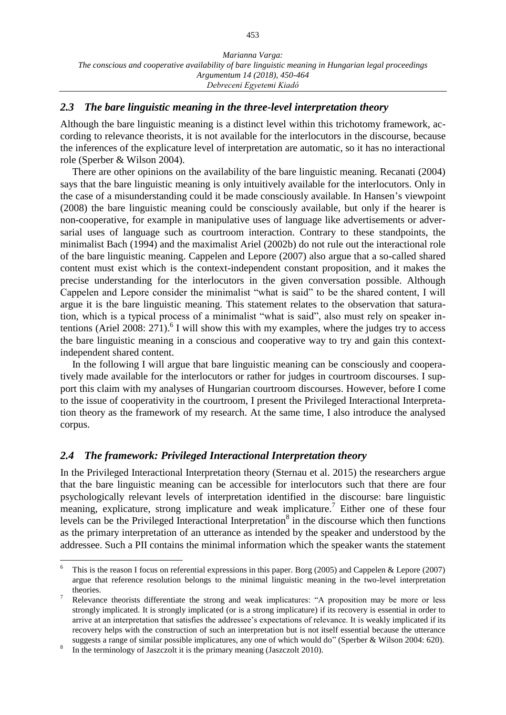#### *2.3 The bare linguistic meaning in the three-level interpretation theory*

Although the bare linguistic meaning is a distinct level within this trichotomy framework, according to relevance theorists, it is not available for the interlocutors in the discourse, because the inferences of the explicature level of interpretation are automatic, so it has no interactional role (Sperber & Wilson 2004).

There are other opinions on the availability of the bare linguistic meaning. Recanati (2004) says that the bare linguistic meaning is only intuitively available for the interlocutors. Only in the case of a misunderstanding could it be made consciously available. In Hansen's viewpoint (2008) the bare linguistic meaning could be consciously available, but only if the hearer is non-cooperative, for example in manipulative uses of language like advertisements or adversarial uses of language such as courtroom interaction. Contrary to these standpoints, the minimalist Bach (1994) and the maximalist Ariel (2002b) do not rule out the interactional role of the bare linguistic meaning. Cappelen and Lepore (2007) also argue that a so-called shared content must exist which is the context-independent constant proposition, and it makes the precise understanding for the interlocutors in the given conversation possible. Although Cappelen and Lepore consider the minimalist "what is said" to be the shared content, I will argue it is the bare linguistic meaning. This statement relates to the observation that saturation, which is a typical process of a minimalist "what is said", also must rely on speaker intentions (Ariel 2008: 271).<sup>6</sup> I will show this with my examples, where the judges try to access the bare linguistic meaning in a conscious and cooperative way to try and gain this contextindependent shared content.

In the following I will argue that bare linguistic meaning can be consciously and cooperatively made available for the interlocutors or rather for judges in courtroom discourses. I support this claim with my analyses of Hungarian courtroom discourses. However, before I come to the issue of cooperativity in the courtroom, I present the Privileged Interactional Interpretation theory as the framework of my research. At the same time, I also introduce the analysed corpus.

#### *2.4 The framework: Privileged Interactional Interpretation theory*

In the Privileged Interactional Interpretation theory (Sternau et al. 2015) the researchers argue that the bare linguistic meaning can be accessible for interlocutors such that there are four psychologically relevant levels of interpretation identified in the discourse: bare linguistic meaning, explicature, strong implicature and weak implicature.<sup>7</sup> Either one of these four levels can be the Privileged Interactional Interpretation<sup>8</sup> in the discourse which then functions as the primary interpretation of an utterance as intended by the speaker and understood by the addressee. Such a PII contains the minimal information which the speaker wants the statement

 $\overline{a}$ 

<sup>6</sup> This is the reason I focus on referential expressions in this paper. Borg (2005) and Cappelen & Lepore (2007) argue that reference resolution belongs to the minimal linguistic meaning in the two-level interpretation theories.

<sup>&</sup>lt;sup>7</sup> Relevance theorists differentiate the strong and weak implicatures: "A proposition may be more or less strongly implicated. It is strongly implicated (or is a strong implicature) if its recovery is essential in order to arrive at an interpretation that satisfies the addressee's expectations of relevance. It is weakly implicated if its recovery helps with the construction of such an interpretation but is not itself essential because the utterance suggests a range of similar possible implicatures, any one of which would do" (Sperber & Wilson 2004: 620).

<sup>8</sup> In the terminology of Jaszczolt it is the primary meaning (Jaszczolt 2010).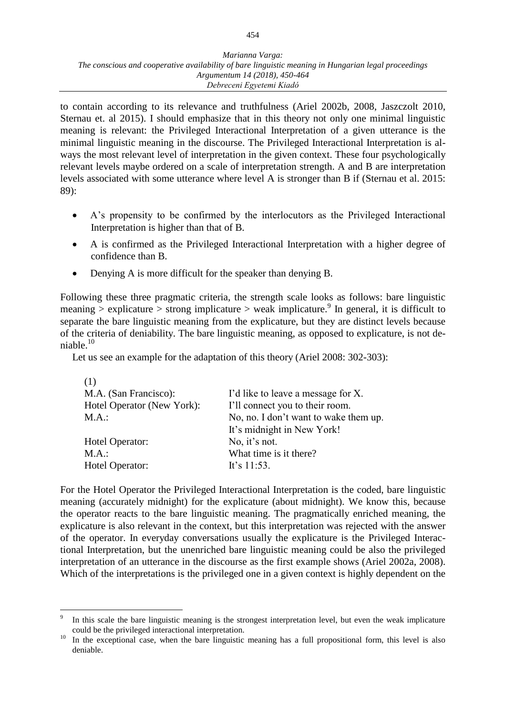to contain according to its relevance and truthfulness (Ariel 2002b, 2008, Jaszczolt 2010, Sternau et. al 2015). I should emphasize that in this theory not only one minimal linguistic meaning is relevant: the Privileged Interactional Interpretation of a given utterance is the minimal linguistic meaning in the discourse. The Privileged Interactional Interpretation is always the most relevant level of interpretation in the given context. These four psychologically relevant levels maybe ordered on a scale of interpretation strength. A and B are interpretation levels associated with some utterance where level A is stronger than B if (Sternau et al. 2015: 89):

- A's propensity to be confirmed by the interlocutors as the Privileged Interactional Interpretation is higher than that of B.
- A is confirmed as the Privileged Interactional Interpretation with a higher degree of confidence than B.
- Denying A is more difficult for the speaker than denying B.

Following these three pragmatic criteria, the strength scale looks as follows: bare linguistic meaning > explicature > strong implicature > weak implicature.<sup>9</sup> In general, it is difficult to separate the bare linguistic meaning from the explicature, but they are distinct levels because of the criteria of deniability. The bare linguistic meaning, as opposed to explicature, is not deniable.<sup>10</sup>

Let us see an example for the adaptation of this theory (Ariel 2008: 302-303):

| (1)                        |                                       |
|----------------------------|---------------------------------------|
| M.A. (San Francisco):      | I'd like to leave a message for X.    |
| Hotel Operator (New York): | I'll connect you to their room.       |
| M.A.:                      | No, no. I don't want to wake them up. |
|                            | It's midnight in New York!            |
| Hotel Operator:            | No, it's not.                         |
| M.A.:                      | What time is it there?                |
| Hotel Operator:            | It's $11:53$ .                        |

For the Hotel Operator the Privileged Interactional Interpretation is the coded, bare linguistic meaning (accurately midnight) for the explicature (about midnight). We know this, because the operator reacts to the bare linguistic meaning. The pragmatically enriched meaning, the explicature is also relevant in the context, but this interpretation was rejected with the answer of the operator. In everyday conversations usually the explicature is the Privileged Interactional Interpretation, but the unenriched bare linguistic meaning could be also the privileged interpretation of an utterance in the discourse as the first example shows (Ariel 2002a, 2008). Which of the interpretations is the privileged one in a given context is highly dependent on the

 $\overline{a}$ 9 In this scale the bare linguistic meaning is the strongest interpretation level, but even the weak implicature could be the privileged interactional interpretation.

<sup>&</sup>lt;sup>10</sup> In the exceptional case, when the bare linguistic meaning has a full propositional form, this level is also deniable.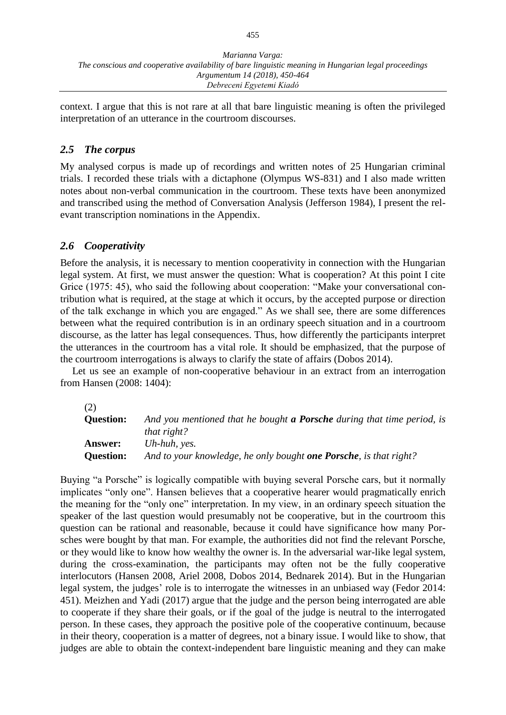context. I argue that this is not rare at all that bare linguistic meaning is often the privileged interpretation of an utterance in the courtroom discourses.

## *2.5 The corpus*

My analysed corpus is made up of recordings and written notes of 25 Hungarian criminal trials. I recorded these trials with a dictaphone (Olympus WS-831) and I also made written notes about non-verbal communication in the courtroom. These texts have been anonymized and transcribed using the method of Conversation Analysis (Jefferson 1984), I present the relevant transcription nominations in the Appendix.

#### *2.6 Cooperativity*

Before the analysis, it is necessary to mention cooperativity in connection with the Hungarian legal system. At first, we must answer the question: What is cooperation? At this point I cite Grice (1975: 45), who said the following about cooperation: "Make your conversational contribution what is required, at the stage at which it occurs, by the accepted purpose or direction of the talk exchange in which you are engaged." As we shall see, there are some differences between what the required contribution is in an ordinary speech situation and in a courtroom discourse, as the latter has legal consequences. Thus, how differently the participants interpret the utterances in the courtroom has a vital role. It should be emphasized, that the purpose of the courtroom interrogations is always to clarify the state of affairs (Dobos 2014).

Let us see an example of non-cooperative behaviour in an extract from an interrogation from Hansen (2008: 1404):

(2)

| <b>Question:</b> | And you mentioned that he bought <b>a Porsche</b> during that time period, is |
|------------------|-------------------------------------------------------------------------------|
|                  | that right?                                                                   |
| <b>Answer:</b>   | Uh-huh, yes.                                                                  |
| <b>Question:</b> | And to your knowledge, he only bought <b>one Porsche</b> , is that right?     |

Buying "a Porsche" is logically compatible with buying several Porsche cars, but it normally implicates "only one". Hansen believes that a cooperative hearer would pragmatically enrich the meaning for the "only one" interpretation. In my view, in an ordinary speech situation the speaker of the last question would presumably not be cooperative, but in the courtroom this question can be rational and reasonable, because it could have significance how many Porsches were bought by that man. For example, the authorities did not find the relevant Porsche, or they would like to know how wealthy the owner is. In the adversarial war-like legal system, during the cross-examination, the participants may often not be the fully cooperative interlocutors (Hansen 2008, Ariel 2008, Dobos 2014, Bednarek 2014). But in the Hungarian legal system, the judges' role is to interrogate the witnesses in an unbiased way (Fedor 2014: 451). Meizhen and Yadi (2017) argue that the judge and the person being interrogated are able to cooperate if they share their goals, or if the goal of the judge is neutral to the interrogated person. In these cases, they approach the positive pole of the cooperative continuum, because in their theory, cooperation is a matter of degrees, not a binary issue. I would like to show, that judges are able to obtain the context-independent bare linguistic meaning and they can make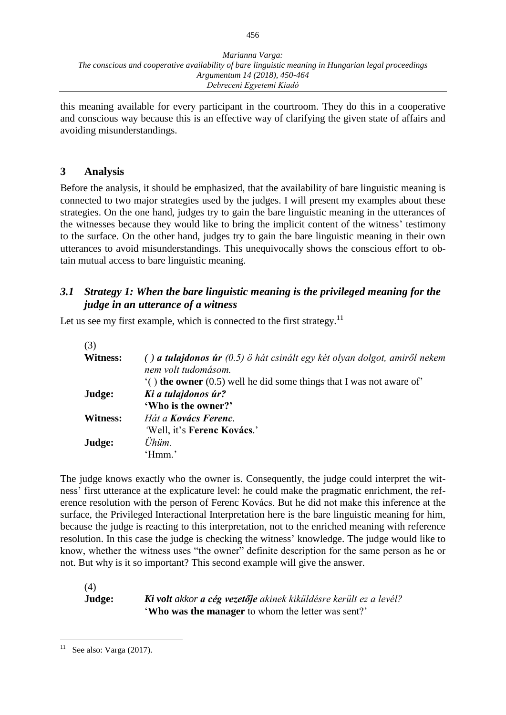456

this meaning available for every participant in the courtroom. They do this in a cooperative and conscious way because this is an effective way of clarifying the given state of affairs and avoiding misunderstandings.

#### **3 Analysis**

Before the analysis, it should be emphasized, that the availability of bare linguistic meaning is connected to two major strategies used by the judges. I will present my examples about these strategies. On the one hand, judges try to gain the bare linguistic meaning in the utterances of the witnesses because they would like to bring the implicit content of the witness' testimony to the surface. On the other hand, judges try to gain the bare linguistic meaning in their own utterances to avoid misunderstandings. This unequivocally shows the conscious effort to obtain mutual access to bare linguistic meaning.

#### *3.1 Strategy 1: When the bare linguistic meaning is the privileged meaning for the judge in an utterance of a witness*

Let us see my first example, which is connected to the first strategy. $11$ 

| $( )$ a tulajdonos úr $(0.5)$ ö hát csinált egy két olyan dolgot, amiről nekem<br>nem volt tudomásom. |
|-------------------------------------------------------------------------------------------------------|
| $($ the owner (0.5) well he did some things that I was not aware of                                   |
| Ki a tulajdonos úr?                                                                                   |
| 'Who is the owner?'                                                                                   |
| Hát a <b>Kovács Ferenc</b> .                                                                          |
| 'Well, it's Ferenc Kovács.'                                                                           |
| Ühüm.                                                                                                 |
| 'Hmm.'                                                                                                |
|                                                                                                       |

The judge knows exactly who the owner is. Consequently, the judge could interpret the witness' first utterance at the explicature level: he could make the pragmatic enrichment, the reference resolution with the person of Ferenc Kovács. But he did not make this inference at the surface, the Privileged Interactional Interpretation here is the bare linguistic meaning for him, because the judge is reacting to this interpretation, not to the enriched meaning with reference resolution. In this case the judge is checking the witness' knowledge. The judge would like to know, whether the witness uses "the owner" definite description for the same person as he or not. But why is it so important? This second example will give the answer.

(4)

**Judge:** *Ki volt akkor a cég vezetője akinek kiküldésre került ez a levél?* '**Who was the manager** to whom the letter was sent?'

 $11$ See also: Varga (2017).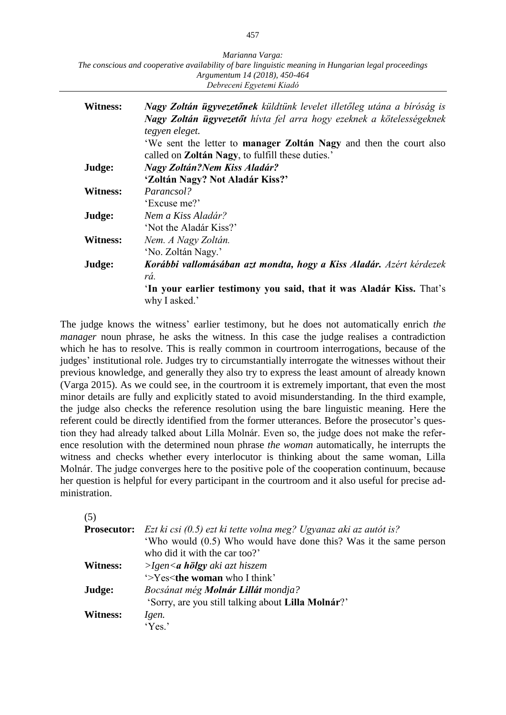| Marianna Varga:                                                                                      |  |
|------------------------------------------------------------------------------------------------------|--|
| The conscious and cooperative availability of bare linguistic meaning in Hungarian legal proceedings |  |
| Argumentum 14 (2018), 450-464                                                                        |  |
| Debreceni Egyetemi Kiadó                                                                             |  |

| <b>Witness:</b> | Nagy Zoltán ügyvezetőnek küldtünk levelet illetőleg utána a bíróság is<br>Nagy Zoltán ügyvezetőt hívta fel arra hogy ezeknek a kötelességeknek<br>tegyen eleget.<br>'We sent the letter to manager Zoltán Nagy and then the court also<br>called on Zoltán Nagy, to fulfill these duties.' |
|-----------------|--------------------------------------------------------------------------------------------------------------------------------------------------------------------------------------------------------------------------------------------------------------------------------------------|
| Judge:          | <b>Nagy Zoltán?Nem Kiss Aladár?</b>                                                                                                                                                                                                                                                        |
|                 | 'Zoltán Nagy? Not Aladár Kiss?'                                                                                                                                                                                                                                                            |
| Witness:        | Parancsol?                                                                                                                                                                                                                                                                                 |
|                 | 'Excuse me?'                                                                                                                                                                                                                                                                               |
| Judge:          | Nem a Kiss Aladár?                                                                                                                                                                                                                                                                         |
|                 | 'Not the Aladár Kiss?'                                                                                                                                                                                                                                                                     |
| <b>Witness:</b> | Nem. A Nagy Zoltán.                                                                                                                                                                                                                                                                        |
|                 | 'No. Zoltán Nagy.'                                                                                                                                                                                                                                                                         |
| Judge:          | Korábbi vallomásában azt mondta, hogy a Kiss Aladár. Azért kérdezek                                                                                                                                                                                                                        |
|                 | rá.                                                                                                                                                                                                                                                                                        |
|                 | 'In your earlier testimony you said, that it was Aladár Kiss. That's<br>why I asked.'                                                                                                                                                                                                      |

The judge knows the witness' earlier testimony, but he does not automatically enrich *the manager* noun phrase, he asks the witness. In this case the judge realises a contradiction which he has to resolve. This is really common in courtroom interrogations, because of the judges' institutional role. Judges try to circumstantially interrogate the witnesses without their previous knowledge, and generally they also try to express the least amount of already known (Varga 2015). As we could see, in the courtroom it is extremely important, that even the most minor details are fully and explicitly stated to avoid misunderstanding. In the third example, the judge also checks the reference resolution using the bare linguistic meaning. Here the referent could be directly identified from the former utterances. Before the prosecutor's question they had already talked about Lilla Molnár. Even so, the judge does not make the reference resolution with the determined noun phrase *the woman* automatically, he interrupts the witness and checks whether every interlocutor is thinking about the same woman, Lilla Molnár. The judge converges here to the positive pole of the cooperation continuum, because her question is helpful for every participant in the courtroom and it also useful for precise administration.

| ۰,<br>۰.<br>× |  |
|---------------|--|

|                 | <b>Prosecutor:</b> Ezt ki csi $(0.5)$ ezt ki tette volna meg? Ugyanaz aki az autót is? |
|-----------------|----------------------------------------------------------------------------------------|
|                 | 'Who would (0.5) Who would have done this? Was it the same person                      |
|                 | who did it with the car too?'                                                          |
| <b>Witness:</b> | $> Igen \le a$ hölgy aki azt hiszem                                                    |
|                 | '>Yes <the i="" td="" think'<="" who="" woman=""></the>                                |
| Judge:          | Bocsánat még <b>Molnár Lillát</b> mondja?                                              |
|                 | 'Sorry, are you still talking about Lilla Molnár?'                                     |
| <b>Witness:</b> | Igen.                                                                                  |
|                 | 'Yes.'                                                                                 |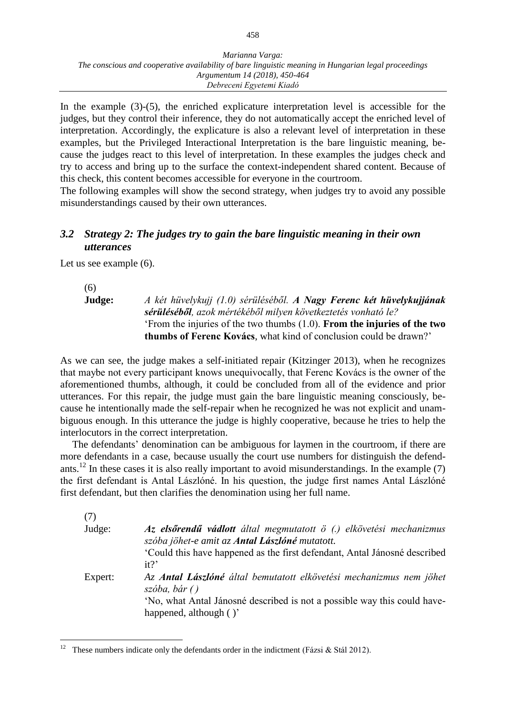In the example (3)-(5), the enriched explicature interpretation level is accessible for the judges, but they control their inference, they do not automatically accept the enriched level of interpretation. Accordingly, the explicature is also a relevant level of interpretation in these examples, but the Privileged Interactional Interpretation is the bare linguistic meaning, because the judges react to this level of interpretation. In these examples the judges check and try to access and bring up to the surface the context-independent shared content. Because of this check, this content becomes accessible for everyone in the courtroom.

The following examples will show the second strategy, when judges try to avoid any possible misunderstandings caused by their own utterances.

#### *3.2 Strategy 2: The judges try to gain the bare linguistic meaning in their own utterances*

Let us see example (6).

(6)

 $\overline{a}$ 

**Judge:** *A két hüvelykujj (1.0) sérüléséből. A Nagy Ferenc két hüvelykujjának sérüléséből, azok mértékéből milyen következtetés vonható le?* 'From the injuries of the two thumbs (1.0). **From the injuries of the two thumbs of Ferenc Kovács**, what kind of conclusion could be drawn?'

As we can see, the judge makes a self-initiated repair (Kitzinger 2013), when he recognizes that maybe not every participant knows unequivocally, that Ferenc Kovács is the owner of the aforementioned thumbs, although, it could be concluded from all of the evidence and prior utterances. For this repair, the judge must gain the bare linguistic meaning consciously, because he intentionally made the self-repair when he recognized he was not explicit and unambiguous enough. In this utterance the judge is highly cooperative, because he tries to help the interlocutors in the correct interpretation.

The defendants' denomination can be ambiguous for laymen in the courtroom, if there are more defendants in a case, because usually the court use numbers for distinguish the defendants.<sup>12</sup> In these cases it is also really important to avoid misunderstandings. In the example  $(7)$ the first defendant is Antal Lászlóné. In his question, the judge first names Antal Lászlóné first defendant, but then clarifies the denomination using her full name.

| (7)     |                                                                                                                       |
|---------|-----------------------------------------------------------------------------------------------------------------------|
| Judge:  | Az elsőrendű vádlott által megmutatott ö (.) elkövetési mechanizmus<br>szóba jöhet-e amit az Antal Lászlóné mutatott. |
|         | Could this have happened as the first defendant, Antal Jánosné described<br>$it$ ?                                    |
| Expert: | Az <b>Antal Lászlóné</b> által bemutatott elkövetési mechanizmus nem jöhet<br>szoba, bár()                            |
|         | 'No, what Antal Jánosné described is not a possible way this could have-                                              |
|         | happened, although ()'                                                                                                |

These numbers indicate only the defendants order in the indictment (Fázsi & Stál 2012).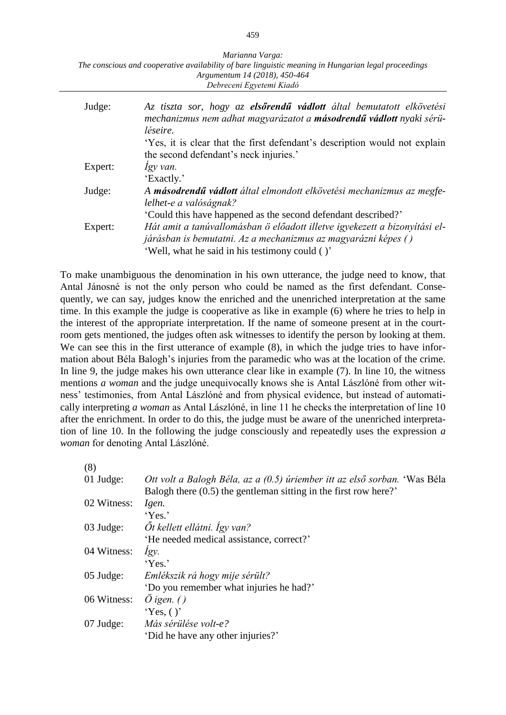| Marianna Varga:                                                                                      |  |
|------------------------------------------------------------------------------------------------------|--|
| The conscious and cooperative availability of bare linguistic meaning in Hungarian legal proceedings |  |
| Argumentum 14 (2018), 450-464                                                                        |  |
| Debreceni Egyetemi Kiadó                                                                             |  |

| Judge:  | Az tiszta sor, hogy az <b>elsőrendű vádlott</b> által bemutatott elkövetési<br>mechanizmus nem adhat magyarázatot a másodrendű vádlott nyaki sérü-<br>léseire. |
|---------|----------------------------------------------------------------------------------------------------------------------------------------------------------------|
|         | 'Yes, it is clear that the first defendant's description would not explain                                                                                     |
|         | the second defendant's neck injuries.'                                                                                                                         |
| Expert: | Igy van.                                                                                                                                                       |
|         | 'Exactly.'                                                                                                                                                     |
| Judge:  | A másodrendű vádlott által elmondott elkövetési mechanizmus az megfe-                                                                                          |
|         | lelhet-e a valóságnak?                                                                                                                                         |
|         | Could this have happened as the second defendant described?                                                                                                    |
| Expert: | Hát amit a tanúvallomásban ö előadott illetve igyekezett a bizonyítási el-                                                                                     |
|         | járásban is bemutatni. Az a mechanizmus az magyarázni képes ()                                                                                                 |
|         | 'Well, what he said in his testimony could ()'                                                                                                                 |

To make unambiguous the denomination in his own utterance, the judge need to know, that Antal Jánosné is not the only person who could be named as the first defendant. Consequently, we can say, judges know the enriched and the unenriched interpretation at the same time. In this example the judge is cooperative as like in example (6) where he tries to help in the interest of the appropriate interpretation. If the name of someone present at in the courtroom gets mentioned, the judges often ask witnesses to identify the person by looking at them. We can see this in the first utterance of example  $(8)$ , in which the judge tries to have information about Béla Balogh's injuries from the paramedic who was at the location of the crime. In line 9, the judge makes his own utterance clear like in example (7). In line 10, the witness mentions *a woman* and the judge unequivocally knows she is Antal Lászlóné from other witness' testimonies, from Antal Lászlóné and from physical evidence, but instead of automatically interpreting *a woman* as Antal Lászlóné, in line 11 he checks the interpretation of line 10 after the enrichment. In order to do this, the judge must be aware of the unenriched interpretation of line 10. In the following the judge consciously and repeatedly uses the expression *a woman* for denoting Antal Lászlóné.

| (8)         |                                                                           |
|-------------|---------------------------------------------------------------------------|
| 01 Judge:   | Ott volt a Balogh Béla, az a (0.5) úriember itt az első sorban. 'Was Béla |
|             | Balogh there $(0.5)$ the gentleman sitting in the first row here?         |
| 02 Witness: | Igen.                                                                     |
|             | 'Yes.'                                                                    |
| $03$ Judge: | Öt kellett ellátni. Így van?                                              |
|             | 'He needed medical assistance, correct?'                                  |
| 04 Witness: | Igy.                                                                      |
|             | Yes.'                                                                     |
| $05$ Judge: | Emlékszik rá hogy mije sérült?                                            |
|             | "Do you remember what injuries he had?"                                   |
| 06 Witness: | O igen. $()$                                                              |
|             | Yes, ()'                                                                  |
| $07$ Judge: | Más sérülése volt-e?                                                      |
|             | 'Did he have any other injuries?'                                         |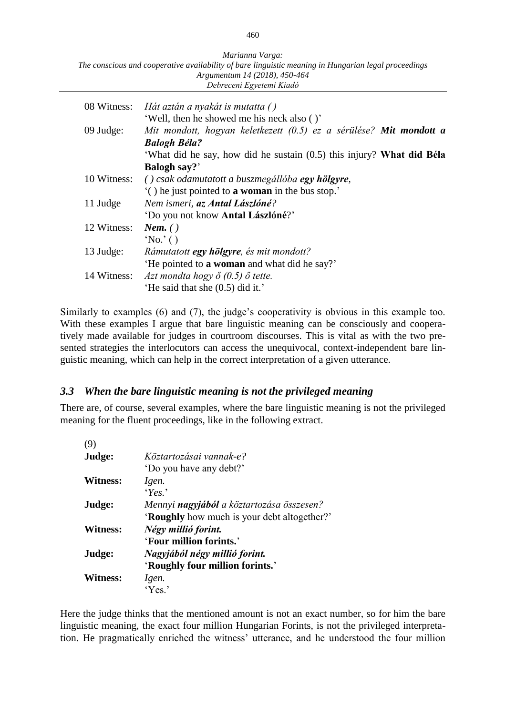*Marianna Varga: The conscious and cooperative availability of bare linguistic meaning in Hungarian legal proceedings Argumentum 14 (2018), 450-464 Debreceni Egyetemi Kiadó*

| 08 Witness: | Hát aztán a nyakát is mutatta ()                                      |
|-------------|-----------------------------------------------------------------------|
|             | 'Well, then he showed me his neck also ()'                            |
| $09$ Judge: | Mit mondott, hogyan keletkezett (0.5) ez a sérülése? Mit mondott a    |
|             | <b>Balogh Béla?</b>                                                   |
|             | 'What did he say, how did he sustain (0.5) this injury? What did Béla |
|             | <b>Balogh say?</b>                                                    |
| 10 Witness: | () csak odamutatott a buszmegállóba egy hölgyre,                      |
|             | () he just pointed to <b>a woman</b> in the bus stop.                 |
| 11 Judge    | Nem ismeri, az Antal Lászlóné?                                        |
|             | 'Do you not know <b>Antal Lászlóné</b> ?'                             |
| 12 Witness: | Nem. $( )$                                                            |
|             | $^{\circ}$ No. $^{\circ}$ ()                                          |
| 13 Judge:   | Rámutatott egy hölgyre, és mit mondott?                               |
|             | 'He pointed to a woman and what did he say?'                          |
| 14 Witness: | Azt mondta hogy $\ddot{o}$ (0.5) $\ddot{o}$ tette.                    |
|             | 'He said that she $(0.5)$ did it.'                                    |

Similarly to examples (6) and (7), the judge's cooperativity is obvious in this example too. With these examples I argue that bare linguistic meaning can be consciously and cooperatively made available for judges in courtroom discourses. This is vital as with the two presented strategies the interlocutors can access the unequivocal, context-independent bare linguistic meaning, which can help in the correct interpretation of a given utterance.

#### *3.3 When the bare linguistic meaning is not the privileged meaning*

There are, of course, several examples, where the bare linguistic meaning is not the privileged meaning for the fluent proceedings, like in the following extract.

| (9)             |                                                  |
|-----------------|--------------------------------------------------|
| Judge:          | Köztartozásai vannak-e?                          |
|                 | 'Do you have any debt?'                          |
| Witness:        | Igen.                                            |
|                 | $Y_{ex}$                                         |
| Judge:          | Mennyi <b>nagyjából</b> a köztartozása összesen? |
|                 | 'Roughly how much is your debt altogether?'      |
| <b>Witness:</b> | Négy millió forint.                              |
|                 | 'Four million forints.'                          |
| Judge:          | Nagyjából négy millió forint.                    |
|                 | 'Roughly four million forints.'                  |
| <b>Witness:</b> | Igen.                                            |
|                 | 'Yes.'                                           |

Here the judge thinks that the mentioned amount is not an exact number, so for him the bare linguistic meaning, the exact four million Hungarian Forints, is not the privileged interpretation. He pragmatically enriched the witness' utterance, and he understood the four million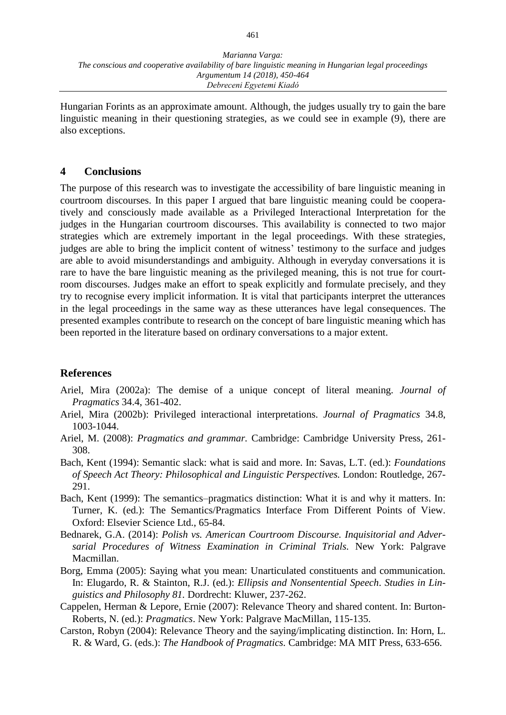Hungarian Forints as an approximate amount. Although, the judges usually try to gain the bare linguistic meaning in their questioning strategies, as we could see in example (9), there are also exceptions.

#### **4 Conclusions**

The purpose of this research was to investigate the accessibility of bare linguistic meaning in courtroom discourses. In this paper I argued that bare linguistic meaning could be cooperatively and consciously made available as a Privileged Interactional Interpretation for the judges in the Hungarian courtroom discourses. This availability is connected to two major strategies which are extremely important in the legal proceedings. With these strategies, judges are able to bring the implicit content of witness' testimony to the surface and judges are able to avoid misunderstandings and ambiguity. Although in everyday conversations it is rare to have the bare linguistic meaning as the privileged meaning, this is not true for courtroom discourses. Judges make an effort to speak explicitly and formulate precisely, and they try to recognise every implicit information. It is vital that participants interpret the utterances in the legal proceedings in the same way as these utterances have legal consequences. The presented examples contribute to research on the concept of bare linguistic meaning which has been reported in the literature based on ordinary conversations to a major extent.

#### **References**

- Ariel, Mira (2002a): The demise of a unique concept of literal meaning. *Journal of Pragmatics* 34.4, 361-402.
- Ariel, Mira (2002b): Privileged interactional interpretations. *Journal of Pragmatics* 34.8, 1003-1044.
- Ariel, M. (2008): *Pragmatics and grammar.* Cambridge: Cambridge University Press, 261- 308.
- Bach, Kent (1994): Semantic slack: what is said and more. In: Savas, L.T. (ed.): *Foundations of Speech Act Theory: Philosophical and Linguistic Perspectives.* London: Routledge, 267- 291.
- Bach, Kent (1999): The semantics–pragmatics distinction: What it is and why it matters. In: Turner, K. (ed.): The Semantics/Pragmatics Interface From Different Points of View. Oxford: Elsevier Science Ltd., 65-84.
- Bednarek, G.A. (2014): *Polish vs. American Courtroom Discourse. Inquisitorial and Adversarial Procedures of Witness Examination in Criminal Trials.* New York: Palgrave Macmillan.
- Borg, Emma (2005): Saying what you mean: Unarticulated constituents and communication. In: Elugardo, R. & Stainton, R.J. (ed.): *Ellipsis and Nonsentential Speech*. *Studies in Linguistics and Philosophy 81.* Dordrecht: Kluwer, 237-262.
- Cappelen, Herman & Lepore, Ernie (2007): Relevance Theory and shared content. In: Burton-Roberts, N. (ed.): *Pragmatics*. New York: Palgrave MacMillan, 115-135.
- Carston, Robyn (2004): Relevance Theory and the saying/implicating distinction. In: Horn, L. R. & Ward, G. (eds.): *The Handbook of Pragmatics.* Cambridge: MA MIT Press, 633-656.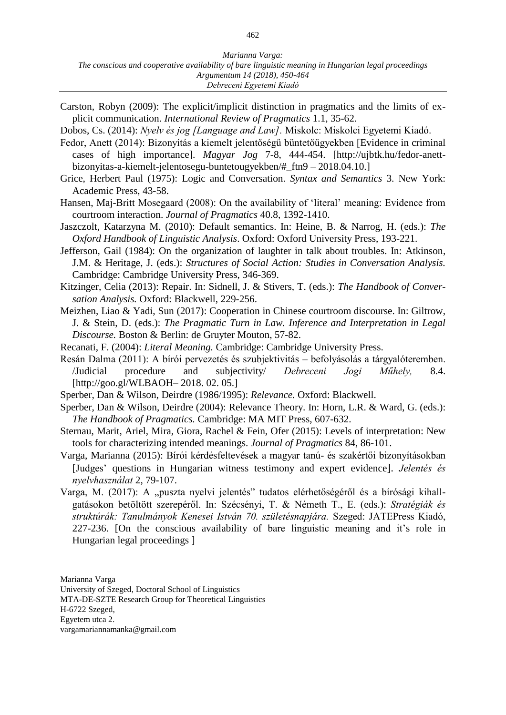- Carston, Robyn (2009): The explicit/implicit distinction in pragmatics and the limits of explicit communication. *International Review of Pragmatics* 1.1, 35-62.
- Dobos, Cs. (2014): *Nyelv és jog [Language and Law].* Miskolc: Miskolci Egyetemi Kiadó.
- Fedor, Anett (2014): Bizonyítás a kiemelt jelentőségű büntetőügyekben [Evidence in criminal cases of high importance]. *Magyar Jog* 7-8, 444-454. [\[http://ujbtk.hu/fedor-anett](http://ujbtk.hu/fedor-anett-bizonyitas-a-kiemelt-jelentosegu-buntetougyekben/#_ftn9)[bizonyitas-a-kiemelt-jelentosegu-buntetougyekben/#\\_ftn9](http://ujbtk.hu/fedor-anett-bizonyitas-a-kiemelt-jelentosegu-buntetougyekben/#_ftn9) – 2018.04.10.]
- Grice, Herbert Paul (1975): Logic and Conversation. *Syntax and Semantics* 3. New York: Academic Press, 43-58.
- Hansen, Maj-Britt Mosegaard (2008): On the availability of 'literal' meaning: Evidence from courtroom interaction. *Journal of Pragmatics* 40.8, 1392-1410.
- Jaszczolt, Katarzyna M. (2010): Default semantics. In: Heine, B. & Narrog, H. (eds.): *The Oxford Handbook of Linguistic Analysis*. Oxford: Oxford University Press, 193-221.
- Jefferson, Gail (1984): On the organization of laughter in talk about troubles. In: Atkinson, J.M. & Heritage, J. (eds.): *Structures of Social Action: Studies in Conversation Analysis.* Cambridge: Cambridge University Press, 346-369.
- Kitzinger, Celia (2013): Repair. In: Sidnell, J. & Stivers, T. (eds.): *The Handbook of Conversation Analysis.* Oxford: Blackwell, 229-256.
- Meizhen, Liao & Yadi, Sun (2017): Cooperation in Chinese courtroom discourse. In: Giltrow, J. & Stein, D. (eds.): *The Pragmatic Turn in Law. Inference and Interpretation in Legal Discourse.* Boston & Berlin: de Gruyter Mouton, 57-82.
- Recanati, F. (2004): *Literal Meaning.* Cambridge: Cambridge University Press.
- Resán Dalma (2011): A bírói pervezetés és szubjektivitás befolyásolás a tárgyalóteremben. /Judicial procedure and subjectivity/ *Debreceni Jogi Műhely,* 8.4. [http://goo.gl/WLBAOH– 2018. 02. 05.]
- Sperber, Dan & Wilson, Deirdre (1986/1995): *Relevance.* Oxford: Blackwell.
- Sperber, Dan & Wilson, Deirdre (2004): Relevance Theory. In: Horn, L.R. & Ward, G. (eds.): *The Handbook of Pragmatics.* Cambridge: MA MIT Press, 607-632.
- Sternau, Marit, Ariel, Mira, Giora, Rachel & Fein, Ofer (2015): Levels of interpretation: New tools for characterizing intended meanings. *Journal of Pragmatics* 84, 86-101.
- Varga, Marianna (2015): Bírói kérdésfeltevések a magyar tanú- és szakértői bizonyításokban [Judges' questions in Hungarian witness testimony and expert evidence]. *Jelentés és nyelvhasználat* 2, 79-107.
- Varga, M. (2017): A "puszta nyelvi jelentés" tudatos elérhetőségéről és a bírósági kihallgatásokon betöltött szerepéről. In: Szécsényi, T. & Németh T., E. (eds.): *Stratégiák és struktúrák: Tanulmányok Kenesei István 70. születésnapjára.* Szeged: JATEPress Kiadó, 227-236. [On the conscious availability of bare linguistic meaning and it's role in Hungarian legal proceedings ]

Marianna Varga University of Szeged, Doctoral School of Linguistics MTA-DE-SZTE Research Group for Theoretical Linguistics H-6722 Szeged, Egyetem utca 2. vargamariannamanka@gmail.com